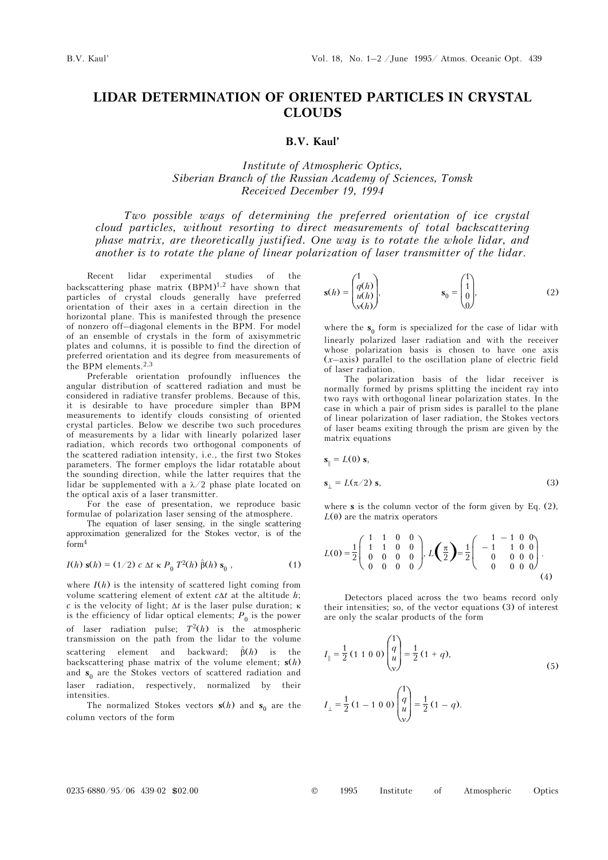# **LIDAR DETERMINATION OF ORIENTED PARTICLES IN CRYSTAL CLOUDS**

### **B.V. Kaul'**

## *Institute of Atmospheric Optics, Siberian Branch of the Russian Academy of Sciences, Tomsk Received December 19, 1994*

*Two possible ways of determining the preferred orientation of ice crystal cloud particles, without resorting to direct measurements of total backscattering phase matrix, are theoretically justified. One way is to rotate the whole lidar, and another is to rotate the plane of linear polarization of laser transmitter of the lidar*.

Recent lidar experimental studies of the backscattering phase matrix  $(BPM)^{1,2}$  have shown that particles of crystal clouds generally have preferred orientation of their axes in a certain direction in the horizontal plane. This is manifested through the presence of nonzero off–diagonal elements in the BPM. For model of an ensemble of crystals in the form of axisymmetric plates and columns, it is possible to find the direction of preferred orientation and its degree from measurements of the BPM elements.  $\!^{2,3}$ 

Preferable orientation profoundly influences the angular distribution of scattered radiation and must be considered in radiative transfer problems. Because of this, it is desirable to have procedure simpler than BPM measurements to identify clouds consisting of oriented crystal particles. Below we describe two such procedures of measurements by a lidar with linearly polarized laser radiation, which records two orthogonal components of the scattered radiation intensity, i.e., the first two Stokes parameters. The former employs the lidar rotatable about the sounding direction, while the latter requires that the lidar be supplemented with a  $\lambda/2$  phase plate located on the optical axis of a laser transmitter.

For the ease of presentation, we reproduce basic formulae of polarization laser sensing of the atmosphere.

The equation of laser sensing, in the single scattering approximation generalized for the Stokes vector, is of the form4

$$
I(h) s(h) = (1/2) c \Delta t \kappa P_0 T^2(h) \hat{\beta}(h) s_0 , \qquad (1)
$$

where  $I(h)$  is the intensity of scattered light coming from volume scattering element of extent *c*Δ*t* at the altitude *h*; *c* is the velocity of light; Δ*t* is the laser pulse duration; κ is the efficiency of lidar optical elements;  $P_0$  is the power of laser radiation pulse;  $T^2(h)$  is the atmospheric transmission on the path from the lidar to the volume scattering element and backward;  $\hat{\beta}(h)$  is the backscattering phase matrix of the volume element; **s**(*h*) and  $s_0$  are the Stokes vectors of scattered radiation and laser radiation, respectively, normalized by their intensities.

The normalized Stokes vectors  $s(h)$  and  $s_0$  are the column vectors of the form

$$
\mathbf{s}(h) = \begin{pmatrix} 1 \\ q(h) \\ u(h) \\ v(h) \end{pmatrix}, \qquad \qquad \mathbf{s}_0 = \begin{pmatrix} 1 \\ 1 \\ 0 \\ 0 \end{pmatrix}, \tag{2}
$$

where the  $s_0$  form is specialized for the case of lidar with linearly polarized laser radiation and with the receiver whose polarization basis is chosen to have one axis (*x*–axis) parallel to the oscillation plane of electric field of laser radiation.

The polarization basis of the lidar receiver is normally formed by prisms splitting the incident ray into two rays with orthogonal linear polarization states. In the case in which a pair of prism sides is parallel to the plane of linear polarization of laser radiation, the Stokes vectors of laser beams exiting through the prism are given by the matrix equations

$$
\mathbf{s}_{\parallel} = L(0) \, \mathbf{s},
$$

$$
\mathbf{s}_{\perp} = L(\pi/2) \, \mathbf{s}, \tag{3}
$$

where **s** is the column vector of the form given by Eq. (2),  $L(\theta)$  are the matrix operators

$$
L(0) = \frac{1}{2} \begin{pmatrix} 1 & 1 & 0 & 0 \\ 1 & 1 & 0 & 0 \\ 0 & 0 & 0 & 0 \\ 0 & 0 & 0 & 0 \end{pmatrix}, L\left(\frac{\pi}{2}\right) = \frac{1}{2} \begin{pmatrix} 1 & -1 & 0 & 0 \\ -1 & 1 & 0 & 0 \\ 0 & 0 & 0 & 0 \\ 0 & 0 & 0 & 0 \end{pmatrix}.
$$
\n(4)

Detectors placed across the two beams record only their intensities; so, of the vector equations (3) of interest are only the scalar products of the form

$$
I_{\parallel} = \frac{1}{2} (1 \ 1 \ 0 \ 0) \begin{pmatrix} 1 \\ q \\ u \\ v \end{pmatrix} = \frac{1}{2} (1 + q),
$$
  
\n
$$
I_{\perp} = \frac{1}{2} (1 - 1 \ 0 \ 0) \begin{pmatrix} 1 \\ q \\ u \\ v \end{pmatrix} = \frac{1}{2} (1 - q).
$$
  
\n(5)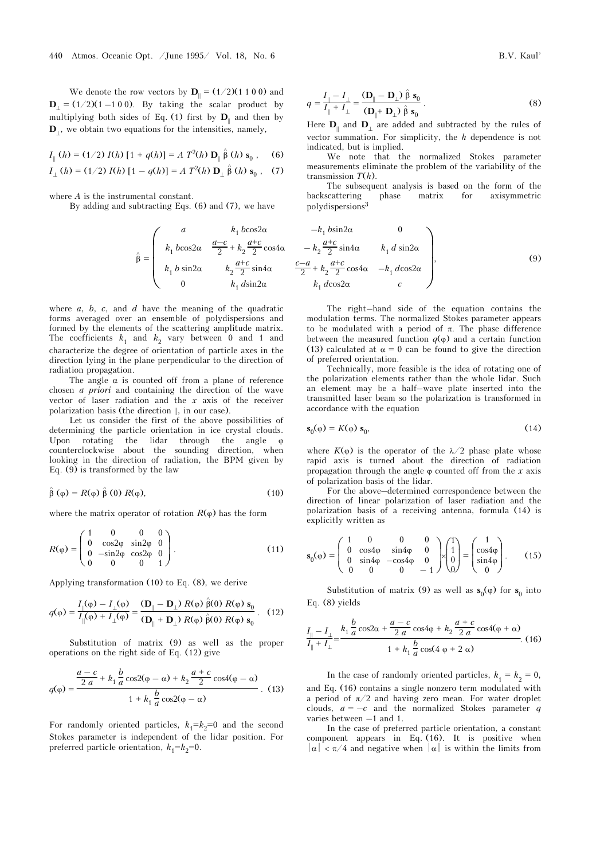We denote the row vectors by  $\mathbf{D}_{\parallel} = (1/2)(1 \ 1 \ 0 \ 0)$  and  $\mathbf{D}_{\perp}$  = (1/2)(1 –1 0 0). By taking the scalar product by multiplying both sides of Eq. (1) first by  $D_{\parallel}$  and then by **D**⊥, we obtain two equations for the intensities, namely,

$$
I_{\parallel}(h) = (1/2) I(h) [1 + q(h)] = A T^{2}(h) D_{\parallel} \hat{\beta}(h) s_{0}, \quad (6)
$$

$$
I_{\perp}(h) = (1/2) I(h) [1 - q(h)] = A T^{2}(h) D_{\perp} \hat{\beta}(h) s_{0}, (7)
$$

where *A* is the instrumental constant.

By adding and subtracting Eqs. (6) and (7), we have

$$
\hat{\beta} = \begin{pmatrix}\na & k_1 b \cos 2\alpha \\
k_1 b \cos 2\alpha & \frac{a-c}{2} + k_2 \frac{a+c}{2} \cos 4\alpha \\
k_1 b \sin 2\alpha & k_2 \frac{a+c}{2} \sin 4\alpha \\
0 & k_1 d \sin 2\alpha\n\end{pmatrix}
$$

where *a*, *b*, *c*, and *d* have the meaning of the quadratic forms averaged over an ensemble of polydispersions and formed by the elements of the scattering amplitude matrix. The coefficients  $k_1$  and  $k_2$  vary between 0 and 1 and characterize the degree of orientation of particle axes in the direction lying in the plane perpendicular to the direction of radiation propagation.

The angle  $\alpha$  is counted off from a plane of reference chosen *a priori* and containing the direction of the wave vector of laser radiation and the *x* axis of the receiver polarization basis (the direction ||, in our case).

Let us consider the first of the above possibilities of determining the particle orientation in ice crystal clouds. Upon rotating the lidar through the angle φ counterclockwise about the sounding direction, when looking in the direction of radiation, the BPM given by Eq.  $(9)$  is transformed by the law

$$
\hat{\beta}(\varphi) = R(\varphi)\hat{\beta}(0) R(\varphi), \qquad (10)
$$

where the matrix operator of rotation  $R(\varphi)$  has the form

$$
R(\varphi) = \begin{pmatrix} 1 & 0 & 0 & 0 \\ 0 & \cos 2\varphi & \sin 2\varphi & 0 \\ 0 & -\sin 2\varphi & \cos 2\varphi & 0 \\ 0 & 0 & 0 & 1 \end{pmatrix}.
$$
 (11)

Applying transformation (10) to Eq. (8), we derive

$$
q(\varphi) = \frac{I_{\parallel}(\varphi) - I_{\perp}(\varphi)}{I_{\parallel}(\varphi) + I_{\perp}(\varphi)} = \frac{(\mathbf{D}_{\parallel} - \mathbf{D}_{\perp}) R(\varphi) \hat{\beta}(0) R(\varphi) \mathbf{s}_0}{(\mathbf{D}_{\parallel} + \mathbf{D}_{\perp}) R(\varphi) \hat{\beta}(0) R(\varphi) \mathbf{s}_0}.
$$
 (12)

Substitution of matrix (9) as well as the proper operations on the right side of Eq. (12) give

$$
q(\varphi) = \frac{\frac{a-c}{2 a} + k_1 \frac{b}{a} \cos(2(\varphi - \alpha) + k_2 \frac{a+c}{2} \cos(4(\varphi - \alpha))}{1 + k_1 \frac{b}{a} \cos(2(\varphi - \alpha))}.
$$
 (13)

For randomly oriented particles,  $k_1 = k_2 = 0$  and the second Stokes parameter is independent of the lidar position. For preferred particle orientation,  $k_1 = k_2 = 0$ .

$$
q = \frac{I_{\parallel} - I_{\perp}}{I_{\parallel} + I_{\perp}} = \frac{(\mathbf{D}_{\parallel} - \mathbf{D}_{\perp}) \hat{\beta} \mathbf{s}_0}{(\mathbf{D}_{\parallel} + \mathbf{D}_{\perp}) \hat{\beta} \mathbf{s}_0}.
$$
 (8)

Here  $D_{\parallel}$  and  $D_{\perp}$  are added and subtracted by the rules of vector summation. For simplicity, the *h* dependence is not indicated, but is implied.

We note that the normalized Stokes parameter measurements eliminate the problem of the variability of the transmission *T*(*h*).

The subsequent analysis is based on the form of the backscattering phase matrix for axisymmetric polydispersions<sup>3</sup>

$$
\begin{array}{ccc}\na & k_1 b \cos 2\alpha & -k_1 b \sin 2\alpha & 0 \\
\cos 2\alpha & \frac{a-c}{2} + k_2 \frac{a+c}{2} \cos 4\alpha & -k_2 \frac{a+c}{2} \sin 4\alpha & k_1 d \sin 2\alpha \\
\sin 2\alpha & k_2 \frac{a+c}{2} \sin 4\alpha & \frac{c-a}{2} + k_2 \frac{a+c}{2} \cos 4\alpha & -k_1 d \cos 2\alpha \\
0 & k_1 d \sin 2\alpha & k_1 d \cos 2\alpha & c\n\end{array}
$$
\n(9)

The right–hand side of the equation contains the modulation terms. The normalized Stokes parameter appears to be modulated with a period of π. The phase difference between the measured function  $q(\varphi)$  and a certain function (13) calculated at  $\alpha = 0$  can be found to give the direction of preferred orientation.

Technically, more feasible is the idea of rotating one of the polarization elements rather than the whole lidar. Such an element may be a half–wave plate inserted into the transmitted laser beam so the polarization is transformed in accordance with the equation

$$
\mathbf{s}_0(\varphi) = K(\varphi) \; \mathbf{s}_0,\tag{14}
$$

where  $K(\varphi)$  is the operator of the  $\lambda/2$  phase plate whose rapid axis is turned about the direction of radiation propagation through the angle  $\varphi$  counted off from the *x* axis of polarization basis of the lidar.

For the above–determined correspondence between the direction of linear polarization of laser radiation and the polarization basis of a receiving antenna, formula (14) is explicitly written as

$$
\mathbf{s}_{0}(\varphi) = \begin{pmatrix} 1 & 0 & 0 & 0 \\ 0 & \cos 4\varphi & \sin 4\varphi & 0 \\ 0 & \sin 4\varphi & -\cos 4\varphi & 0 \\ 0 & 0 & 0 & -1 \end{pmatrix} \times \begin{pmatrix} 1 \\ 1 \\ 0 \\ 0 \end{pmatrix} = \begin{pmatrix} 1 \\ \cos 4\varphi \\ \sin 4\varphi \\ 0 \end{pmatrix}.
$$
 (15)

Substitution of matrix (9) as well as  $\mathbf{s}_0(\varphi)$  for  $\mathbf{s}_0$  into Eq. (8) yields

$$
\frac{I_{\parallel} - I_{\perp}}{I_{\parallel} + I_{\perp}} = \frac{k_1 \frac{b}{a} \cos 2\alpha + \frac{a - c}{2 a} \cos 4\varphi + k_2 \frac{a + c}{2 a} \cos 4(\varphi + \alpha)}{1 + k_1 \frac{b}{a} \cos (4 \varphi + 2 \alpha)}.
$$
(16)

In the case of randomly oriented particles,  $k_1 = k_2 = 0$ , and Eq. (16) contains a single nonzero term modulated with a period of  $\pi/2$  and having zero mean. For water droplet clouds,  $a = -c$  and the normalized Stokes parameter *q* varies between –1 and 1.

In the case of preferred particle orientation, a constant component appears in Eq. (16). It is positive when  $|\alpha| < \pi/4$  and negative when  $|\alpha|$  is within the limits from